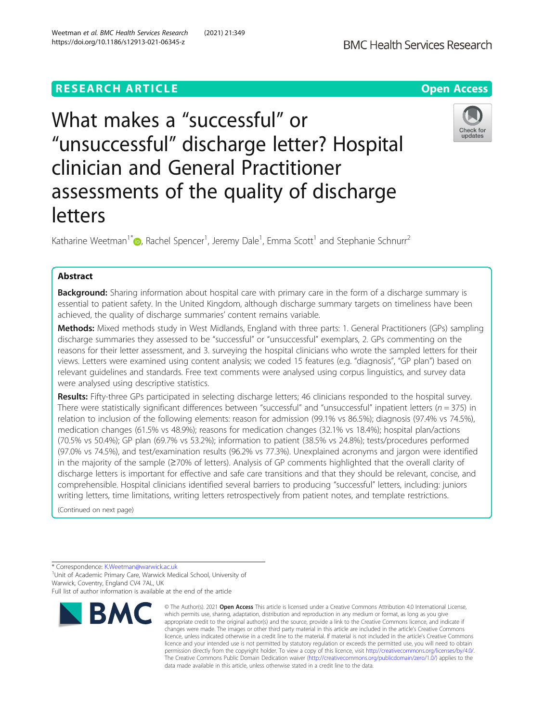# **RESEARCH ARTICLE Example 2014 12:30 The Contract of Contract ACCESS**

# What makes a "successful" or "unsuccessful" discharge letter? Hospital clinician and General Practitioner assessments of the quality of discharge letters

Katharine Weetman<sup>1\*</sup> $\bm{\Theta}$ [,](http://orcid.org/0000-0003-0377-3933) Rachel Spencer<sup>1</sup>, Jeremy Dale<sup>1</sup>, Emma Scott<sup>1</sup> and Stephanie Schnurr<sup>2</sup>

## Abstract

**Background:** Sharing information about hospital care with primary care in the form of a discharge summary is essential to patient safety. In the United Kingdom, although discharge summary targets on timeliness have been achieved, the quality of discharge summaries' content remains variable.

Methods: Mixed methods study in West Midlands, England with three parts: 1. General Practitioners (GPs) sampling discharge summaries they assessed to be "successful" or "unsuccessful" exemplars, 2. GPs commenting on the reasons for their letter assessment, and 3. surveying the hospital clinicians who wrote the sampled letters for their views. Letters were examined using content analysis; we coded 15 features (e.g. "diagnosis", "GP plan") based on relevant guidelines and standards. Free text comments were analysed using corpus linguistics, and survey data were analysed using descriptive statistics.

Results: Fifty-three GPs participated in selecting discharge letters; 46 clinicians responded to the hospital survey. There were statistically significant differences between "successful" and "unsuccessful" inpatient letters ( $n = 375$ ) in relation to inclusion of the following elements: reason for admission (99.1% vs 86.5%); diagnosis (97.4% vs 74.5%), medication changes (61.5% vs 48.9%); reasons for medication changes (32.1% vs 18.4%); hospital plan/actions (70.5% vs 50.4%); GP plan (69.7% vs 53.2%); information to patient (38.5% vs 24.8%); tests/procedures performed (97.0% vs 74.5%), and test/examination results (96.2% vs 77.3%). Unexplained acronyms and jargon were identified in the majority of the sample (≥70% of letters). Analysis of GP comments highlighted that the overall clarity of discharge letters is important for effective and safe care transitions and that they should be relevant, concise, and comprehensible. Hospital clinicians identified several barriers to producing "successful" letters, including: juniors writing letters, time limitations, writing letters retrospectively from patient notes, and template restrictions.

(Continued on next page)

\* Correspondence: [K.Weetman@warwick.ac.uk](mailto:K.Weetman@warwick.ac.uk) <sup>1</sup>

**BMC** 

<sup>1</sup> Unit of Academic Primary Care, Warwick Medical School, University of Warwick, Coventry, England CV4 7AL, UK

Full list of author information is available at the end of the article

Weetman et al. BMC Health Services Research (2021) 21:349 https://doi.org/10.1186/s12913-021-06345-z





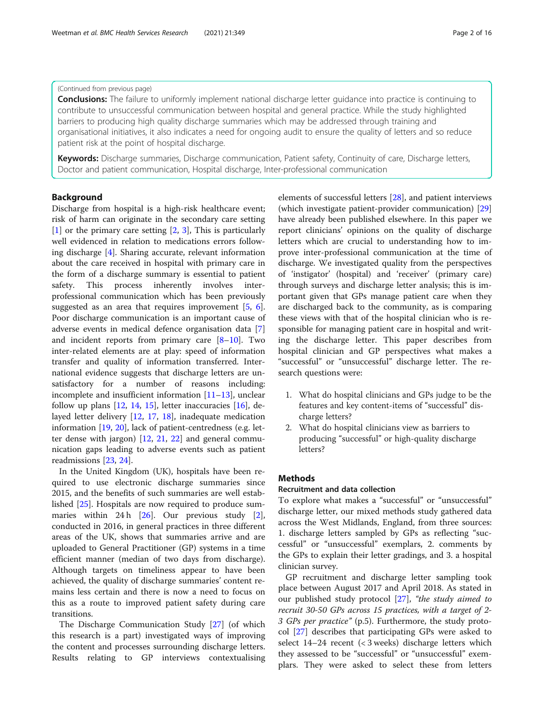#### (Continued from previous page)

**Conclusions:** The failure to uniformly implement national discharge letter guidance into practice is continuing to contribute to unsuccessful communication between hospital and general practice. While the study highlighted barriers to producing high quality discharge summaries which may be addressed through training and organisational initiatives, it also indicates a need for ongoing audit to ensure the quality of letters and so reduce patient risk at the point of hospital discharge.

Keywords: Discharge summaries, Discharge communication, Patient safety, Continuity of care, Discharge letters, Doctor and patient communication, Hospital discharge, Inter-professional communication

#### Background

Discharge from hospital is a high-risk healthcare event; risk of harm can originate in the secondary care setting [[1\]](#page-13-0) or the primary care setting [[2,](#page-13-0) [3](#page-13-0)], This is particularly well evidenced in relation to medications errors following discharge [[4\]](#page-13-0). Sharing accurate, relevant information about the care received in hospital with primary care in the form of a discharge summary is essential to patient safety. This process inherently involves interprofessional communication which has been previously suggested as an area that requires improvement [[5,](#page-13-0) [6](#page-14-0)]. Poor discharge communication is an important cause of adverse events in medical defence organisation data [\[7](#page-14-0)] and incident reports from primary care  $[8-10]$  $[8-10]$  $[8-10]$ . Two inter-related elements are at play: speed of information transfer and quality of information transferred. International evidence suggests that discharge letters are unsatisfactory for a number of reasons including: incomplete and insufficient information [\[11](#page-14-0)–[13\]](#page-14-0), unclear follow up plans  $[12, 14, 15]$  $[12, 14, 15]$  $[12, 14, 15]$  $[12, 14, 15]$  $[12, 14, 15]$  $[12, 14, 15]$  $[12, 14, 15]$ , letter inaccuracies  $[16]$  $[16]$  $[16]$ , delayed letter delivery [[12,](#page-14-0) [17](#page-14-0), [18](#page-14-0)], inadequate medication information [\[19](#page-14-0), [20](#page-14-0)], lack of patient-centredness (e.g. letter dense with jargon) [[12,](#page-14-0) [21](#page-14-0), [22](#page-14-0)] and general communication gaps leading to adverse events such as patient readmissions [[23](#page-14-0), [24](#page-14-0)].

In the United Kingdom (UK), hospitals have been required to use electronic discharge summaries since 2015, and the benefits of such summaries are well established [\[25\]](#page-14-0). Hospitals are now required to produce sum-maries within 24 h [\[26\]](#page-14-0). Our previous study [\[2](#page-13-0)], conducted in 2016, in general practices in three different areas of the UK, shows that summaries arrive and are uploaded to General Practitioner (GP) systems in a time efficient manner (median of two days from discharge). Although targets on timeliness appear to have been achieved, the quality of discharge summaries' content remains less certain and there is now a need to focus on this as a route to improved patient safety during care transitions.

The Discharge Communication Study [[27](#page-14-0)] (of which this research is a part) investigated ways of improving the content and processes surrounding discharge letters. Results relating to GP interviews contextualising

elements of successful letters [[28\]](#page-14-0), and patient interviews (which investigate patient-provider communication) [[29](#page-14-0)] have already been published elsewhere. In this paper we report clinicians' opinions on the quality of discharge letters which are crucial to understanding how to improve inter-professional communication at the time of discharge. We investigated quality from the perspectives of 'instigator' (hospital) and 'receiver' (primary care) through surveys and discharge letter analysis; this is important given that GPs manage patient care when they are discharged back to the community, as is comparing these views with that of the hospital clinician who is responsible for managing patient care in hospital and writing the discharge letter. This paper describes from hospital clinician and GP perspectives what makes a "successful" or "unsuccessful" discharge letter. The research questions were:

- 1. What do hospital clinicians and GPs judge to be the features and key content-items of "successful" discharge letters?
- 2. What do hospital clinicians view as barriers to producing "successful" or high-quality discharge letters?

#### **Methods**

#### Recruitment and data collection

To explore what makes a "successful" or "unsuccessful" discharge letter, our mixed methods study gathered data across the West Midlands, England, from three sources: 1. discharge letters sampled by GPs as reflecting "successful" or "unsuccessful" exemplars, 2. comments by the GPs to explain their letter gradings, and 3. a hospital clinician survey.

GP recruitment and discharge letter sampling took place between August 2017 and April 2018. As stated in our published study protocol [\[27](#page-14-0)], "the study aimed to recruit 30-50 GPs across 15 practices, with a target of 2- 3 GPs per practice" (p.5). Furthermore, the study protocol [\[27](#page-14-0)] describes that participating GPs were asked to select 14–24 recent (< 3 weeks) discharge letters which they assessed to be "successful" or "unsuccessful" exemplars. They were asked to select these from letters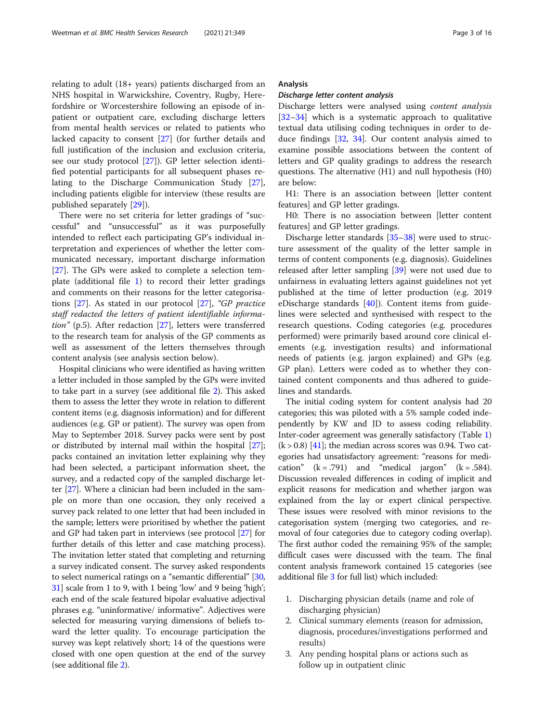relating to adult (18+ years) patients discharged from an NHS hospital in Warwickshire, Coventry, Rugby, Herefordshire or Worcestershire following an episode of inpatient or outpatient care, excluding discharge letters from mental health services or related to patients who lacked capacity to consent [[27\]](#page-14-0) (for further details and full justification of the inclusion and exclusion criteria, see our study protocol [\[27\]](#page-14-0)). GP letter selection identified potential participants for all subsequent phases relating to the Discharge Communication Study [\[27](#page-14-0)], including patients eligible for interview (these results are published separately [[29](#page-14-0)]).

There were no set criteria for letter gradings of "successful" and "unsuccessful" as it was purposefully intended to reflect each participating GP's individual interpretation and experiences of whether the letter communicated necessary, important discharge information [[27\]](#page-14-0). The GPs were asked to complete a selection template (additional file [1\)](#page-13-0) to record their letter gradings and comments on their reasons for the letter categorisations [\[27\]](#page-14-0). As stated in our protocol [[27\]](#page-14-0), "GP practice staff redacted the letters of patient identifiable information" (p.5). After redaction [[27\]](#page-14-0), letters were transferred to the research team for analysis of the GP comments as well as assessment of the letters themselves through content analysis (see analysis section below).

Hospital clinicians who were identified as having written a letter included in those sampled by the GPs were invited to take part in a survey (see additional file [2](#page-13-0)). This asked them to assess the letter they wrote in relation to different content items (e.g. diagnosis information) and for different audiences (e.g. GP or patient). The survey was open from May to September 2018. Survey packs were sent by post or distributed by internal mail within the hospital [[27](#page-14-0)]; packs contained an invitation letter explaining why they had been selected, a participant information sheet, the survey, and a redacted copy of the sampled discharge letter [\[27\]](#page-14-0). Where a clinician had been included in the sample on more than one occasion, they only received a survey pack related to one letter that had been included in the sample; letters were prioritised by whether the patient and GP had taken part in interviews (see protocol [\[27](#page-14-0)] for further details of this letter and case matching process). The invitation letter stated that completing and returning a survey indicated consent. The survey asked respondents to select numerical ratings on a "semantic differential" [[30](#page-14-0), [31](#page-14-0)] scale from 1 to 9, with 1 being 'low' and 9 being 'high'; each end of the scale featured bipolar evaluative adjectival phrases e.g. "uninformative/ informative". Adjectives were selected for measuring varying dimensions of beliefs toward the letter quality. To encourage participation the survey was kept relatively short; 14 of the questions were closed with one open question at the end of the survey (see additional file [2\)](#page-13-0).

#### Analysis

Discharge letters were analysed using content analysis [[32](#page-14-0)–[34](#page-14-0)] which is a systematic approach to qualitative textual data utilising coding techniques in order to deduce findings [[32](#page-14-0), [34](#page-14-0)]. Our content analysis aimed to examine possible associations between the content of letters and GP quality gradings to address the research questions. The alternative (H1) and null hypothesis (H0) are below:

H1: There is an association between [letter content features] and GP letter gradings.

H0: There is no association between [letter content features] and GP letter gradings.

Discharge letter standards [[35](#page-14-0)–[38](#page-15-0)] were used to structure assessment of the quality of the letter sample in terms of content components (e.g. diagnosis). Guidelines released after letter sampling [\[39\]](#page-15-0) were not used due to unfairness in evaluating letters against guidelines not yet published at the time of letter production (e.g. 2019 eDischarge standards [[40\]](#page-15-0)). Content items from guidelines were selected and synthesised with respect to the research questions. Coding categories (e.g. procedures performed) were primarily based around core clinical elements (e.g. investigation results) and informational needs of patients (e.g. jargon explained) and GPs (e.g. GP plan). Letters were coded as to whether they contained content components and thus adhered to guidelines and standards.

The initial coding system for content analysis had 20 categories; this was piloted with a 5% sample coded independently by KW and JD to assess coding reliability. Inter-coder agreement was generally satisfactory (Table [1](#page-3-0))  $(k > 0.8)$  [\[41](#page-15-0)]; the median across scores was 0.94. Two categories had unsatisfactory agreement: "reasons for medication"  $(k = .791)$  and "medical jargon"  $(k = .584)$ . Discussion revealed differences in coding of implicit and explicit reasons for medication and whether jargon was explained from the lay or expert clinical perspective. These issues were resolved with minor revisions to the categorisation system (merging two categories, and removal of four categories due to category coding overlap). The first author coded the remaining 95% of the sample; difficult cases were discussed with the team. The final content analysis framework contained 15 categories (see additional file [3](#page-13-0) for full list) which included:

- 1. Discharging physician details (name and role of discharging physician)
- 2. Clinical summary elements (reason for admission, diagnosis, procedures/investigations performed and results)
- 3. Any pending hospital plans or actions such as follow up in outpatient clinic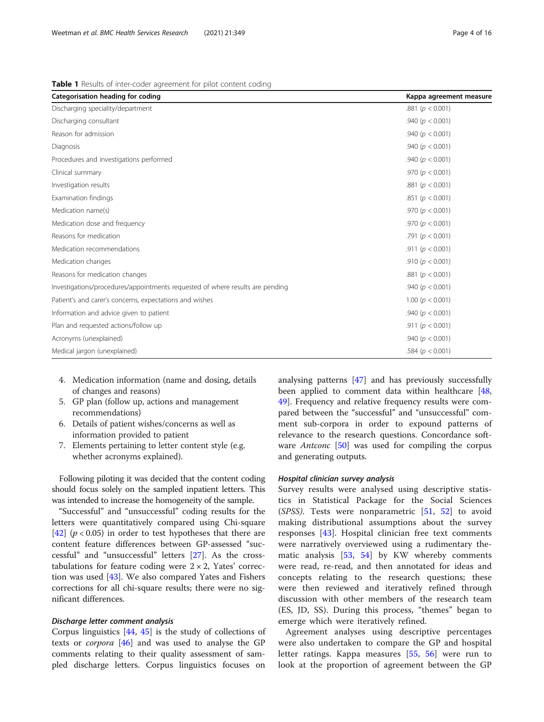<span id="page-3-0"></span>Table 1 Results of inter-coder agreement for pilot content coding

| Categorisation heading for coding                                             | Kappa agreement measure |
|-------------------------------------------------------------------------------|-------------------------|
| Discharging speciality/department                                             | .881 ( $p < 0.001$ )    |
| Discharging consultant                                                        | .940 ( $p < 0.001$ )    |
| Reason for admission                                                          | .940 ( $p < 0.001$ )    |
| Diagnosis                                                                     | .940 ( $p < 0.001$ )    |
| Procedures and investigations performed                                       | .940 ( $p < 0.001$ )    |
| Clinical summary                                                              | .970 ( $p < 0.001$ )    |
| Investigation results                                                         | .881 ( $p < 0.001$ )    |
| Examination findings                                                          | .851 ( $p < 0.001$ )    |
| Medication name(s)                                                            | .970 ( $p < 0.001$ )    |
| Medication dose and frequency                                                 | .970 ( $p < 0.001$ )    |
| Reasons for medication                                                        | .791 ( $p < 0.001$ )    |
| Medication recommendations                                                    | .911 ( $p < 0.001$ )    |
| Medication changes                                                            | .910 ( $p < 0.001$ )    |
| Reasons for medication changes                                                | .881 ( $p < 0.001$ )    |
| Investigations/procedures/appointments requested of where results are pending | .940 ( $p < 0.001$ )    |
| Patient's and carer's concerns, expectations and wishes                       | 1.00 ( $p < 0.001$ )    |
| Information and advice given to patient                                       | .940 ( $p < 0.001$ )    |
| Plan and requested actions/follow up                                          | .911 ( $p < 0.001$ )    |
| Acronyms (unexplained)                                                        | .940 ( $p < 0.001$ )    |
| Medical jargon (unexplained)                                                  | .584 ( $p < 0.001$ )    |

- 4. Medication information (name and dosing, details of changes and reasons)
- 5. GP plan (follow up, actions and management recommendations)
- 6. Details of patient wishes/concerns as well as information provided to patient
- 7. Elements pertaining to letter content style (e.g. whether acronyms explained).

Following piloting it was decided that the content coding should focus solely on the sampled inpatient letters. This was intended to increase the homogeneity of the sample.

"Successful" and "unsuccessful" coding results for the letters were quantitatively compared using Chi-square [[42\]](#page-15-0)  $(p < 0.05)$  in order to test hypotheses that there are content feature differences between GP-assessed "successful" and "unsuccessful" letters [\[27\]](#page-14-0). As the crosstabulations for feature coding were  $2 \times 2$ , Yates' correction was used [[43](#page-15-0)]. We also compared Yates and Fishers corrections for all chi-square results; there were no significant differences.

Corpus linguistics  $[44, 45]$  $[44, 45]$  $[44, 45]$  is the study of collections of texts or *corpora*  $[46]$  $[46]$  and was used to analyse the GP comments relating to their quality assessment of sampled discharge letters. Corpus linguistics focuses on

analysing patterns [[47](#page-15-0)] and has previously successfully been applied to comment data within healthcare [[48](#page-15-0), [49\]](#page-15-0). Frequency and relative frequency results were compared between the "successful" and "unsuccessful" comment sub-corpora in order to expound patterns of relevance to the research questions. Concordance software *Antconc* [[50\]](#page-15-0) was used for compiling the corpus and generating outputs.

Survey results were analysed using descriptive statistics in Statistical Package for the Social Sciences (SPSS). Tests were nonparametric [\[51](#page-15-0), [52\]](#page-15-0) to avoid making distributional assumptions about the survey responses [\[43](#page-15-0)]. Hospital clinician free text comments were narratively overviewed using a rudimentary thematic analysis [\[53](#page-15-0), [54\]](#page-15-0) by KW whereby comments were read, re-read, and then annotated for ideas and concepts relating to the research questions; these were then reviewed and iteratively refined through discussion with other members of the research team (ES, JD, SS). During this process, "themes" began to emerge which were iteratively refined.

Agreement analyses using descriptive percentages were also undertaken to compare the GP and hospital letter ratings. Kappa measures [[55,](#page-15-0) [56\]](#page-15-0) were run to look at the proportion of agreement between the GP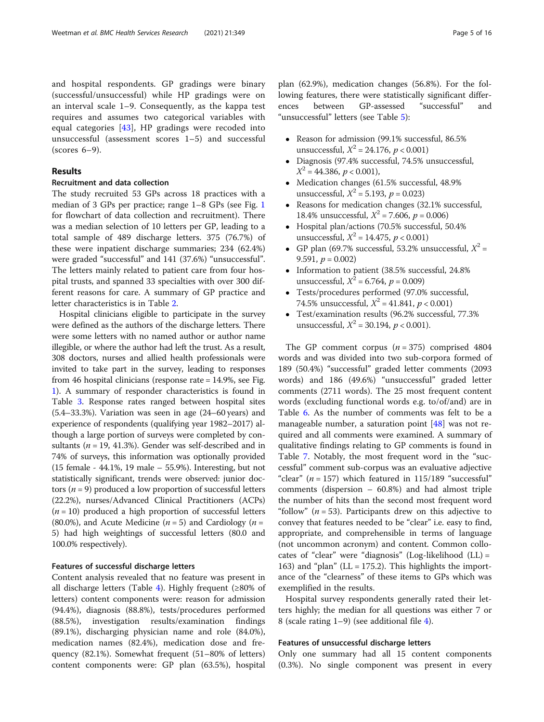and hospital respondents. GP gradings were binary (successful/unsuccessful) while HP gradings were on an interval scale 1–9. Consequently, as the kappa test requires and assumes two categorical variables with equal categories [\[43](#page-15-0)], HP gradings were recoded into unsuccessful (assessment scores 1–5) and successful (scores 6–9).

#### Results

#### Recruitment and data collection

The study recruited 53 GPs across 18 practices with a median of 3 GPs per practice; range 1–8 GPs (see Fig. [1](#page-5-0) for flowchart of data collection and recruitment). There was a median selection of 10 letters per GP, leading to a total sample of 489 discharge letters. 375 (76.7%) of these were inpatient discharge summaries; 234 (62.4%) were graded "successful" and 141 (37.6%) "unsuccessful". The letters mainly related to patient care from four hospital trusts, and spanned 33 specialties with over 300 different reasons for care. A summary of GP practice and letter characteristics is in Table [2](#page-6-0).

Hospital clinicians eligible to participate in the survey were defined as the authors of the discharge letters. There were some letters with no named author or author name illegible, or where the author had left the trust. As a result, 308 doctors, nurses and allied health professionals were invited to take part in the survey, leading to responses from 46 hospital clinicians (response rate = 14.9%, see Fig. [1\)](#page-5-0). A summary of responder characteristics is found in Table [3.](#page-8-0) Response rates ranged between hospital sites (5.4–33.3%). Variation was seen in age (24–60 years) and experience of respondents (qualifying year 1982–2017) although a large portion of surveys were completed by consultants ( $n = 19, 41.3\%$ ). Gender was self-described and in 74% of surveys, this information was optionally provided (15 female - 44.1%, 19 male – 55.9%). Interesting, but not statistically significant, trends were observed: junior doctors ( $n = 9$ ) produced a low proportion of successful letters (22.2%), nurses/Advanced Clinical Practitioners (ACPs)  $(n = 10)$  produced a high proportion of successful letters (80.0%), and Acute Medicine ( $n = 5$ ) and Cardiology ( $n =$ 5) had high weightings of successful letters (80.0 and 100.0% respectively).

#### Features of successful discharge letters

Content analysis revealed that no feature was present in all discharge letters (Table [4\)](#page-9-0). Highly frequent  $(≥80%$  of letters) content components were: reason for admission (94.4%), diagnosis (88.8%), tests/procedures performed (88.5%), investigation results/examination findings (89.1%), discharging physician name and role (84.0%), medication names (82.4%), medication dose and frequency (82.1%). Somewhat frequent (51–80% of letters) content components were: GP plan (63.5%), hospital

plan (62.9%), medication changes (56.8%). For the following features, there were statistically significant differences between GP-assessed "successful" and "unsuccessful" letters (see Table [5\)](#page-10-0):

- Reason for admission (99.1% successful, 86.5% unsuccessful,  $X^2 = 24.176$ ,  $p < 0.001$ )
- Diagnosis (97.4% successful, 74.5% unsuccessful,  $X^2 = 44.386$ ,  $p < 0.001$ ),
- Medication changes (61.5% successful, 48.9% unsuccessful,  $X^2 = 5.193$ ,  $p = 0.023$ )
- Reasons for medication changes (32.1% successful, 18.4% unsuccessful,  $X^2 = 7.606$ ,  $p = 0.006$ )
- Hospital plan/actions (70.5% successful, 50.4% unsuccessful,  $X^2 = 14.475$ ,  $p < 0.001$ )
- GP plan (69.7% successful, 53.2% unsuccessful,  $X^2$  = 9.591,  $p = 0.002$
- Information to patient (38.5% successful, 24.8% unsuccessful,  $X^2 = 6.764$ ,  $p = 0.009$ )
- Tests/procedures performed (97.0% successful, 74.5% unsuccessful,  $X^2 = 41.841$ ,  $p < 0.001$ )
- Test/examination results (96.2% successful, 77.3% unsuccessful,  $X^2 = 30.194$ ,  $p < 0.001$ ).

The GP comment corpus  $(n = 375)$  comprised 4804 words and was divided into two sub-corpora formed of 189 (50.4%) "successful" graded letter comments (2093 words) and 186 (49.6%) "unsuccessful" graded letter comments (2711 words). The 25 most frequent content words (excluding functional words e.g. to/of/and) are in Table [6.](#page-11-0) As the number of comments was felt to be a manageable number, a saturation point [[48](#page-15-0)] was not required and all comments were examined. A summary of qualitative findings relating to GP comments is found in Table [7](#page-12-0). Notably, the most frequent word in the "successful" comment sub-corpus was an evaluative adjective "clear" ( $n = 157$ ) which featured in 115/189 "successful" comments (dispersion – 60.8%) and had almost triple the number of hits than the second most frequent word "follow" ( $n = 53$ ). Participants drew on this adjective to convey that features needed to be "clear" i.e. easy to find, appropriate, and comprehensible in terms of language (not uncommon acronym) and content. Common collocates of "clear" were "diagnosis" (Log-likelihood (LL) = 163) and "plan" ( $LL = 175.2$ ). This highlights the importance of the "clearness" of these items to GPs which was exemplified in the results.

Hospital survey respondents generally rated their letters highly; the median for all questions was either 7 or 8 (scale rating 1–9) (see additional file [4](#page-13-0)).

#### Features of unsuccessful discharge letters

Only one summary had all 15 content components (0.3%). No single component was present in every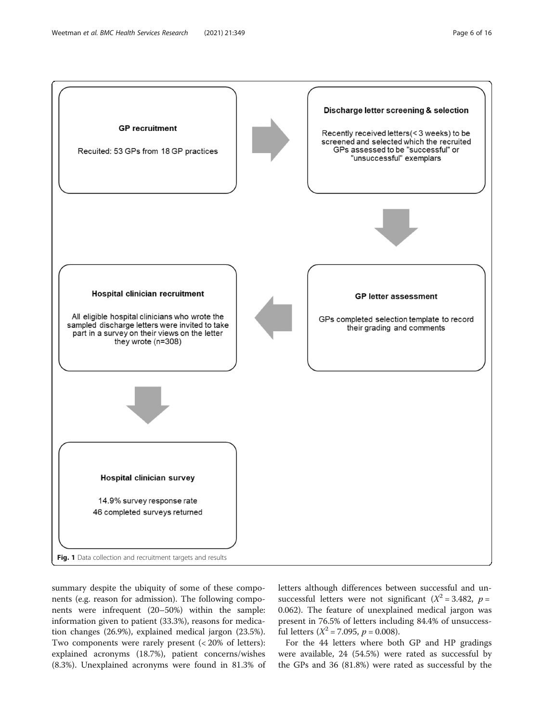<span id="page-5-0"></span>

summary despite the ubiquity of some of these components (e.g. reason for admission). The following components were infrequent (20–50%) within the sample: information given to patient (33.3%), reasons for medication changes (26.9%), explained medical jargon (23.5%). Two components were rarely present (< 20% of letters): explained acronyms (18.7%), patient concerns/wishes (8.3%). Unexplained acronyms were found in 81.3% of letters although differences between successful and unsuccessful letters were not significant ( $X^2 = 3.482$ ,  $p =$ 0.062). The feature of unexplained medical jargon was present in 76.5% of letters including 84.4% of unsuccessful letters ( $X^2 = 7.095$ ,  $p = 0.008$ ).

For the 44 letters where both GP and HP gradings were available, 24 (54.5%) were rated as successful by the GPs and 36 (81.8%) were rated as successful by the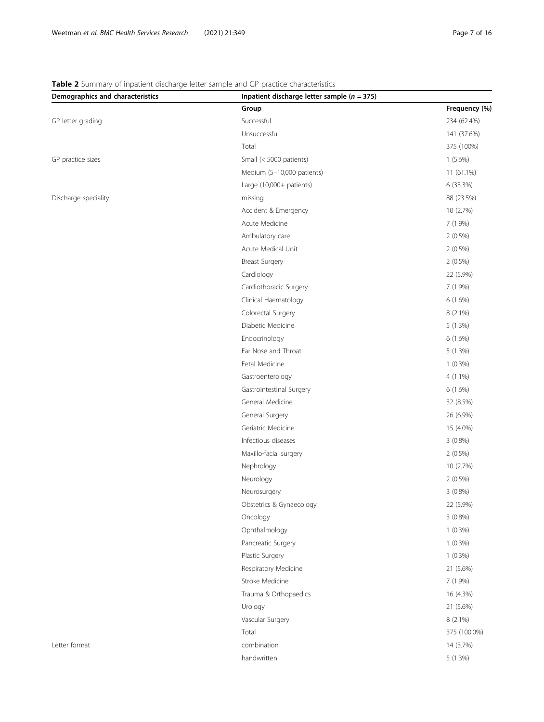### <span id="page-6-0"></span>Table 2 Summary of inpatient discharge letter sample and GP practice characteristics

| Demographics and characteristics | Inpatient discharge letter sample ( $n = 375$ ) |               |
|----------------------------------|-------------------------------------------------|---------------|
|                                  | Group                                           | Frequency (%) |
| GP letter grading                | Successful                                      | 234 (62.4%)   |
|                                  | Unsuccessful                                    | 141 (37.6%)   |
|                                  | Total                                           | 375 (100%)    |
| GP practice sizes                | Small (< 5000 patients)                         | $1(5.6\%)$    |
|                                  | Medium (5-10,000 patients)                      | 11 (61.1%)    |
|                                  | Large (10,000+ patients)                        | 6 (33.3%)     |
| Discharge speciality             | missing                                         | 88 (23.5%)    |
|                                  | Accident & Emergency                            | 10 (2.7%)     |
|                                  | Acute Medicine                                  | 7 (1.9%)      |
|                                  | Ambulatory care                                 | $2(0.5\%)$    |
|                                  | Acute Medical Unit                              | $2(0.5\%)$    |
|                                  | <b>Breast Surgery</b>                           | $2(0.5\%)$    |
|                                  | Cardiology                                      | 22 (5.9%)     |
|                                  | Cardiothoracic Surgery                          | 7 (1.9%)      |
|                                  | Clinical Haematology                            | $6(1.6\%)$    |
|                                  | Colorectal Surgery                              | $8(2.1\%)$    |
|                                  | Diabetic Medicine                               | 5 (1.3%)      |
|                                  | Endocrinology                                   | 6(1.6%)       |
|                                  | Ear Nose and Throat                             | 5(1.3%)       |
|                                  | Fetal Medicine                                  | $1(0.3\%)$    |
|                                  | Gastroenterology                                | $4(1.1\%)$    |
|                                  | Gastrointestinal Surgery                        | 6(1.6%)       |
|                                  | General Medicine                                | 32 (8.5%)     |
|                                  | General Surgery                                 | 26 (6.9%)     |
|                                  | Geriatric Medicine                              | 15 (4.0%)     |
|                                  | Infectious diseases                             | $3(0.8\%)$    |
|                                  | Maxillo-facial surgery                          | $2(0.5\%)$    |
|                                  | Nephrology                                      | 10 (2.7%)     |
|                                  | Neurology                                       | $2(0.5\%)$    |
|                                  | Neurosurgery                                    | $3(0.8\%)$    |
|                                  | Obstetrics & Gynaecology                        | 22 (5.9%)     |
|                                  | Oncology                                        | $3(0.8\%)$    |
|                                  | Ophthalmology                                   | $1(0.3\%)$    |
|                                  | Pancreatic Surgery                              | $1(0.3\%)$    |
|                                  | Plastic Surgery                                 | $1(0.3\%)$    |
|                                  | Respiratory Medicine                            | 21 (5.6%)     |
|                                  | Stroke Medicine                                 | 7 (1.9%)      |
|                                  | Trauma & Orthopaedics                           | 16 (4.3%)     |
|                                  | Urology                                         | 21 (5.6%)     |
|                                  | Vascular Surgery                                | 8 (2.1%)      |
|                                  | Total                                           | 375 (100.0%)  |
| Letter format                    | combination                                     | 14 (3.7%)     |
|                                  | handwritten                                     | 5 (1.3%)      |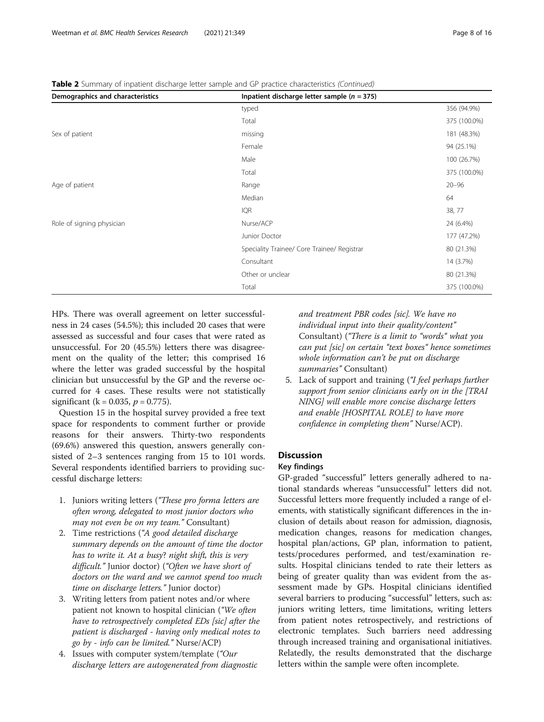| Demographics and characteristics | Inpatient discharge letter sample ( $n = 375$ ) |              |
|----------------------------------|-------------------------------------------------|--------------|
|                                  | typed                                           | 356 (94.9%)  |
|                                  | Total                                           | 375 (100.0%) |
| Sex of patient                   | missing                                         | 181 (48.3%)  |
|                                  | Female                                          | 94 (25.1%)   |
|                                  | Male                                            | 100 (26.7%)  |
|                                  | Total                                           | 375 (100.0%) |
| Age of patient                   | Range                                           | $20 - 96$    |
|                                  | Median                                          | 64           |
|                                  | <b>IQR</b>                                      | 38, 77       |
| Role of signing physician        | Nurse/ACP                                       | 24 (6.4%)    |
|                                  | Junior Doctor                                   | 177 (47.2%)  |
|                                  | Speciality Trainee/ Core Trainee/ Registrar     | 80 (21.3%)   |
|                                  | Consultant                                      | 14 (3.7%)    |
|                                  | Other or unclear                                | 80 (21.3%)   |
|                                  | Total                                           | 375 (100.0%) |

Table 2 Summary of inpatient discharge letter sample and GP practice characteristics (Continued)

HPs. There was overall agreement on letter successfulness in 24 cases (54.5%); this included 20 cases that were assessed as successful and four cases that were rated as unsuccessful. For 20 (45.5%) letters there was disagreement on the quality of the letter; this comprised 16 where the letter was graded successful by the hospital clinician but unsuccessful by the GP and the reverse occurred for 4 cases. These results were not statistically significant ( $k = 0.035$ ,  $p = 0.775$ ).

Question 15 in the hospital survey provided a free text space for respondents to comment further or provide reasons for their answers. Thirty-two respondents (69.6%) answered this question, answers generally consisted of 2–3 sentences ranging from 15 to 101 words. Several respondents identified barriers to providing successful discharge letters:

- 1. Juniors writing letters ("These pro forma letters are often wrong, delegated to most junior doctors who may not even be on my team." Consultant)
- 2. Time restrictions ("A good detailed discharge summary depends on the amount of time the doctor has to write it. At a busy? night shift, this is very difficult." Junior doctor) ("Often we have short of doctors on the ward and we cannot spend too much time on discharge letters." Junior doctor)
- 3. Writing letters from patient notes and/or where patient not known to hospital clinician ("We often have to retrospectively completed EDs [sic] after the patient is discharged - having only medical notes to go by - info can be limited." Nurse/ACP)
- 4. Issues with computer system/template ("Our discharge letters are autogenerated from diagnostic

and treatment PBR codes [sic]. We have no individual input into their quality/content" Consultant) ("There is a limit to "words" what you can put [sic] on certain "text boxes" hence sometimes whole information can't be put on discharge summaries" Consultant)

5. Lack of support and training ("I feel perhaps further support from senior clinicians early on in the [TRAI NING] will enable more concise discharge letters and enable [HOSPITAL ROLE] to have more confidence in completing them" Nurse/ACP).

### **Discussion**

### Key findings

GP-graded "successful" letters generally adhered to national standards whereas "unsuccessful" letters did not. Successful letters more frequently included a range of elements, with statistically significant differences in the inclusion of details about reason for admission, diagnosis, medication changes, reasons for medication changes, hospital plan/actions, GP plan, information to patient, tests/procedures performed, and test/examination results. Hospital clinicians tended to rate their letters as being of greater quality than was evident from the assessment made by GPs. Hospital clinicians identified several barriers to producing "successful" letters, such as: juniors writing letters, time limitations, writing letters from patient notes retrospectively, and restrictions of electronic templates. Such barriers need addressing through increased training and organisational initiatives. Relatedly, the results demonstrated that the discharge letters within the sample were often incomplete.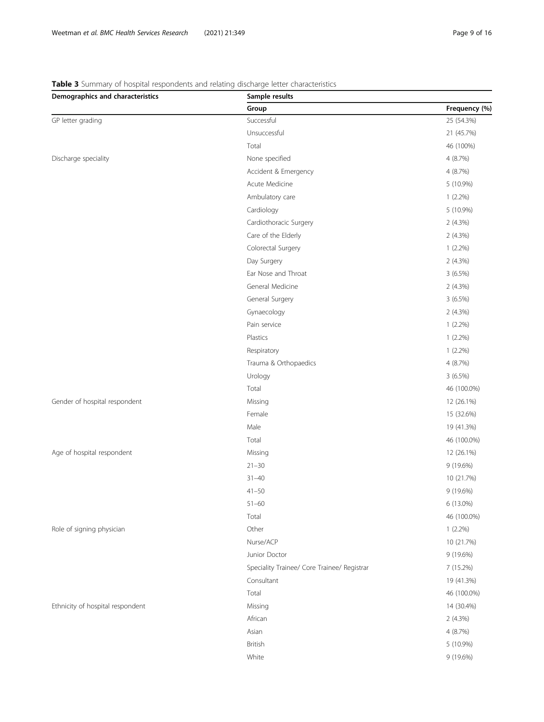# Demographics and characteristics Sample results Group Group Contract Contract Contract Contract Contract Contract Contract Contract Contract Contract Contract Contract Contract Contract Contract Contract Contract Contract Contract Contract Contract Contract Contract Con GP letter grading 25 (54.3%) Successful 25 (54.3%) Unsuccessful 21 (45.7%) Total 46 (100%) Discharge speciality and the control of the None specified and the control of the 100 m  $\sim$  4 (8.7%) Accident & Emergency  $4(8.7%)$ Acute Medicine 5 (10.9%) Ambulatory care 1 (2.2%) Cardiology 5 (10.9%) Cardiothoracic Surgery 2 (4.3%) Care of the Elderly 2 (4.3%) Colorectal Surgery 1 (2.2%) Day Surgery 2 (4.3%) Ear Nose and Throat 3 (6.5%) General Medicine 2 (4.3%) General Surgery 3 (6.5%) Gynaecology 2 (4.3%) Pain service 1 (2.2%) Plastics 1 (2.2%) Respiratory 1 (2.2%) Trauma & Orthopaedics 4 (8.7%) Urology 3 (6.5%) Total 46 (100.0%) Gender of hospital respondent and the matrix of hospital respondent and the Missing 12 (26.1%) Female 15 (32.6%) Male 19 (41.3%) Total 46 (100.0%) Age of hospital respondent and the matrix of the Missing Missing and the Missing 12 (26.1%) 21–30 9 (19.6%) 31–40 10 (21.7%) 41–50 9 (19.6%) 51–60 6 (13.0%) Total 46 (100.0%) Role of signing physician and the control of the control of the control of the control of the control of the control of the control of the control of the control of the control of the control of the control of the control Nurse/ACP 10 (21.7%) Junior Doctor 9 (19.6%) Speciality Trainee/ Core Trainee/ Registrar 7 (15.2%) Consultant 19 (41.3%) Total 46 (100.0%) Ethnicity of hospital respondent and the matrix of the Missing 14 (30.4%) African 2 (4.3%) Asian 4 (8.7%) British 5 (10.9%) White 9 (19.6%)

### <span id="page-8-0"></span>Table 3 Summary of hospital respondents and relating discharge letter characteristics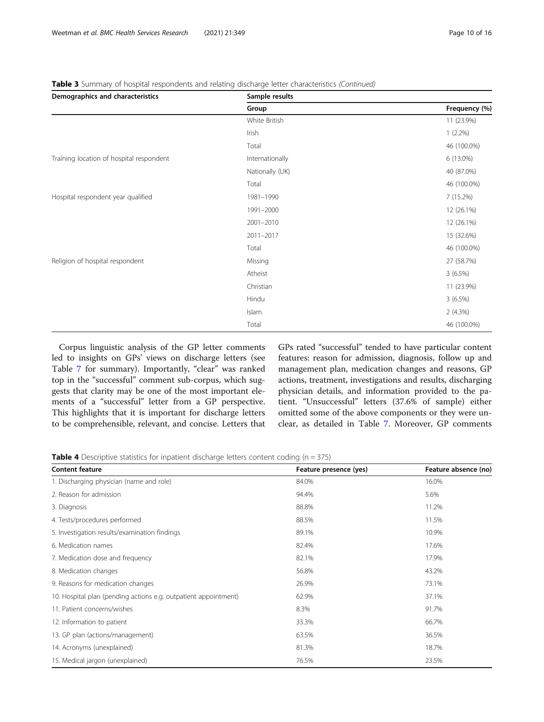| Demographics and characteristics         | Sample results  |               |  |  |
|------------------------------------------|-----------------|---------------|--|--|
|                                          | Group           | Frequency (%) |  |  |
|                                          | White British   | 11 (23.9%)    |  |  |
|                                          | Irish           | $1(2.2\%)$    |  |  |
|                                          | Total           | 46 (100.0%)   |  |  |
| Training location of hospital respondent | Internationally | 6 (13.0%)     |  |  |
| Hospital respondent year qualified       | Nationally (UK) | 40 (87.0%)    |  |  |
|                                          | Total           | 46 (100.0%)   |  |  |
|                                          | 1981-1990       | 7(15.2%)      |  |  |
|                                          | 1991-2000       | 12 (26.1%)    |  |  |
|                                          | 2001-2010       | 12 (26.1%)    |  |  |
|                                          | 2011-2017       | 15 (32.6%)    |  |  |
|                                          | Total           | 46 (100.0%)   |  |  |
| Religion of hospital respondent          | Missing         | 27 (58.7%)    |  |  |
|                                          | Atheist         | $3(6.5\%)$    |  |  |
|                                          | Christian       | 11 (23.9%)    |  |  |
|                                          | Hindu           | 3(6.5%)       |  |  |
|                                          | Islam           | 2(4.3%)       |  |  |
|                                          | Total           | 46 (100.0%)   |  |  |

<span id="page-9-0"></span>Table 3 Summary of hospital respondents and relating discharge letter characteristics (Continued)

Corpus linguistic analysis of the GP letter comments led to insights on GPs' views on discharge letters (see Table [7](#page-12-0) for summary). Importantly, "clear" was ranked top in the "successful" comment sub-corpus, which suggests that clarity may be one of the most important elements of a "successful" letter from a GP perspective. This highlights that it is important for discharge letters to be comprehensible, relevant, and concise. Letters that GPs rated "successful" tended to have particular content features: reason for admission, diagnosis, follow up and management plan, medication changes and reasons, GP actions, treatment, investigations and results, discharging physician details, and information provided to the patient. "Unsuccessful" letters (37.6% of sample) either omitted some of the above components or they were unclear, as detailed in Table [7](#page-12-0). Moreover, GP comments

**Table 4** Descriptive statistics for inpatient discharge letters content coding ( $n = 375$ )

| <b>Content feature</b>                                          | Feature presence (yes) | Feature absence (no) |
|-----------------------------------------------------------------|------------------------|----------------------|
| 1. Discharging physician (name and role)                        | 84.0%                  | 16.0%                |
| 2. Reason for admission                                         | 94.4%                  | 5.6%                 |
| 3. Diagnosis                                                    | 88.8%                  | 11.2%                |
| 4. Tests/procedures performed                                   | 88.5%                  | 11.5%                |
| 5. Investigation results/examination findings                   | 89.1%                  | 10.9%                |
| 6. Medication names                                             | 82.4%                  | 17.6%                |
| 7. Medication dose and frequency                                | 82.1%                  | 17.9%                |
| 8. Medication changes                                           | 56.8%                  | 43.2%                |
| 9. Reasons for medication changes                               | 26.9%                  | 73.1%                |
| 10. Hospital plan (pending actions e.g. outpatient appointment) | 62.9%                  | 37.1%                |
| 11. Patient concerns/wishes                                     | 8.3%                   | 91.7%                |
| 12. Information to patient                                      | 33.3%                  | 66.7%                |
| 13. GP plan (actions/management)                                | 63.5%                  | 36.5%                |
| 14. Acronyms (unexplained)                                      | 81.3%                  | 18.7%                |
| 15. Medical jargon (unexplained)                                | 76.5%                  | 23.5%                |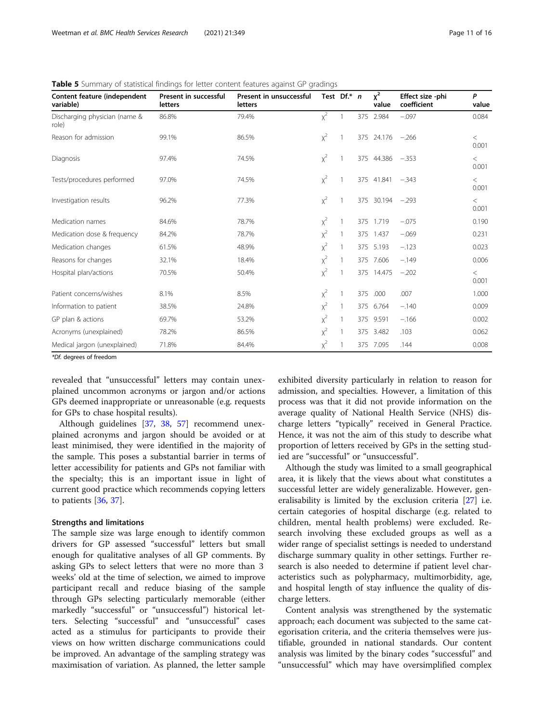| Content feature (independent<br>variable) | Present in successful<br><b>letters</b> | Present in unsuccessful<br><b>letters</b> |       | Test $Df.* n$ |     | $x^2$<br>value | Effect size -phi<br>coefficient | P<br>value     |
|-------------------------------------------|-----------------------------------------|-------------------------------------------|-------|---------------|-----|----------------|---------------------------------|----------------|
| Discharging physician (name &<br>role)    | 86.8%                                   | 79.4%                                     | $x^2$ |               | 375 | 2.984          | $-.097$                         | 0.084          |
| Reason for admission                      | 99.1%                                   | 86.5%                                     | $x^2$ |               |     | 375 24.176     | $-.266$                         | $\lt$<br>0.001 |
| Diagnosis                                 | 97.4%                                   | 74.5%                                     | $x^2$ |               |     | 375 44.386     | $-.353$                         | $\lt$<br>0.001 |
| Tests/procedures performed                | 97.0%                                   | 74.5%                                     | $x^2$ |               |     | 375 41.841     | $-.343$                         | $\lt$<br>0.001 |
| Investigation results                     | 96.2%                                   | 77.3%                                     | $x^2$ |               | 375 | 30.194         | $-.293$                         | $\lt$<br>0.001 |
| Medication names                          | 84.6%                                   | 78.7%                                     | $x^2$ |               | 375 | 1.719          | $-.075$                         | 0.190          |
| Medication dose & frequency               | 84.2%                                   | 78.7%                                     | $x^2$ |               | 375 | 1.437          | $-.069$                         | 0.231          |
| Medication changes                        | 61.5%                                   | 48.9%                                     | $x^2$ |               |     | 375 5.193      | $-.123$                         | 0.023          |
| Reasons for changes                       | 32.1%                                   | 18.4%                                     | $x^2$ |               |     | 375 7.606      | $-.149$                         | 0.006          |
| Hospital plan/actions                     | 70.5%                                   | 50.4%                                     | $x^2$ |               |     | 375 14.475     | $-.202$                         | $\lt$<br>0.001 |
| Patient concerns/wishes                   | 8.1%                                    | 8.5%                                      | $x^2$ |               | 375 | .000           | .007                            | 1.000          |
| Information to patient                    | 38.5%                                   | 24.8%                                     | $x^2$ |               | 375 | 6.764          | $-.140$                         | 0.009          |
| GP plan & actions                         | 69.7%                                   | 53.2%                                     | $x^2$ |               |     | 375 9.591      | $-.166$                         | 0.002          |
| Acronyms (unexplained)                    | 78.2%                                   | 86.5%                                     | $x^2$ |               | 375 | 3.482          | .103                            | 0.062          |
| Medical jargon (unexplained)              | 71.8%                                   | 84.4%                                     | $x^2$ |               |     | 375 7.095      | .144                            | 0.008          |

<span id="page-10-0"></span>Table 5 Summary of statistical findings for letter content features against GP gradings

\*Df. degrees of freedom

revealed that "unsuccessful" letters may contain unexplained uncommon acronyms or jargon and/or actions GPs deemed inappropriate or unreasonable (e.g. requests for GPs to chase hospital results).

Although guidelines [[37](#page-14-0), [38,](#page-15-0) [57\]](#page-15-0) recommend unexplained acronyms and jargon should be avoided or at least minimised, they were identified in the majority of the sample. This poses a substantial barrier in terms of letter accessibility for patients and GPs not familiar with the specialty; this is an important issue in light of current good practice which recommends copying letters to patients [\[36,](#page-14-0) [37\]](#page-14-0).

#### Strengths and limitations

The sample size was large enough to identify common drivers for GP assessed "successful" letters but small enough for qualitative analyses of all GP comments. By asking GPs to select letters that were no more than 3 weeks' old at the time of selection, we aimed to improve participant recall and reduce biasing of the sample through GPs selecting particularly memorable (either markedly "successful" or "unsuccessful") historical letters. Selecting "successful" and "unsuccessful" cases acted as a stimulus for participants to provide their views on how written discharge communications could be improved. An advantage of the sampling strategy was maximisation of variation. As planned, the letter sample

exhibited diversity particularly in relation to reason for admission, and specialties. However, a limitation of this process was that it did not provide information on the average quality of National Health Service (NHS) discharge letters "typically" received in General Practice. Hence, it was not the aim of this study to describe what proportion of letters received by GPs in the setting studied are "successful" or "unsuccessful".

Although the study was limited to a small geographical area, it is likely that the views about what constitutes a successful letter are widely generalizable. However, generalisability is limited by the exclusion criteria [[27\]](#page-14-0) i.e. certain categories of hospital discharge (e.g. related to children, mental health problems) were excluded. Research involving these excluded groups as well as a wider range of specialist settings is needed to understand discharge summary quality in other settings. Further research is also needed to determine if patient level characteristics such as polypharmacy, multimorbidity, age, and hospital length of stay influence the quality of discharge letters.

Content analysis was strengthened by the systematic approach; each document was subjected to the same categorisation criteria, and the criteria themselves were justifiable, grounded in national standards. Our content analysis was limited by the binary codes "successful" and "unsuccessful" which may have oversimplified complex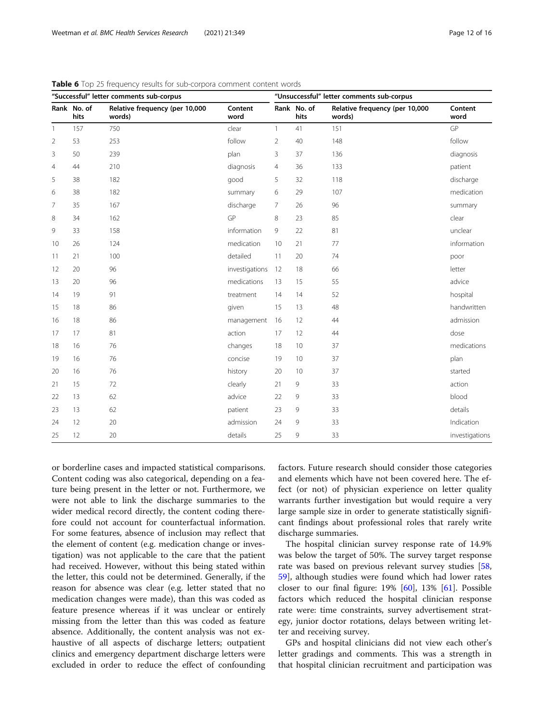| "Successful" letter comments sub-corpus |                     |                                          | "Unsuccessful" letter comments sub-corpus |                |                     |                                          |                 |
|-----------------------------------------|---------------------|------------------------------------------|-------------------------------------------|----------------|---------------------|------------------------------------------|-----------------|
|                                         | Rank No. of<br>hits | Relative frequency (per 10,000<br>words) | Content<br>word                           |                | Rank No. of<br>hits | Relative frequency (per 10,000<br>words) | Content<br>word |
| $\mathbf{1}$                            | 157                 | 750                                      | clear                                     | $\mathbf{1}$   | 41                  | 151                                      | GP              |
| $\overline{2}$                          | 53                  | 253                                      | follow                                    | $\overline{2}$ | 40                  | 148                                      | follow          |
| 3                                       | 50                  | 239                                      | plan                                      | 3              | 37                  | 136                                      | diagnosis       |
| $\overline{4}$                          | 44                  | 210                                      | diagnosis                                 | 4              | 36                  | 133                                      | patient         |
| 5                                       | 38                  | 182                                      | good                                      | 5              | 32                  | 118                                      | discharge       |
| 6                                       | 38                  | 182                                      | summary                                   | 6              | 29                  | 107                                      | medication      |
| 7                                       | 35                  | 167                                      | discharge                                 | $\overline{7}$ | 26                  | 96                                       | summary         |
| 8                                       | 34                  | 162                                      | GP                                        | 8              | 23                  | 85                                       | clear           |
| 9                                       | 33                  | 158                                      | information                               | 9              | 22                  | 81                                       | unclear         |
| 10                                      | 26                  | 124                                      | medication                                | 10             | 21                  | 77                                       | information     |
| 11                                      | 21                  | 100                                      | detailed                                  | 11             | 20                  | 74                                       | poor            |
| 12                                      | 20                  | 96                                       | investigations                            | 12             | 18                  | 66                                       | letter          |
| 13                                      | 20                  | 96                                       | medications                               | 13             | 15                  | 55                                       | advice          |
| 14                                      | 19                  | 91                                       | treatment                                 | 14             | 14                  | 52                                       | hospital        |
| 15                                      | 18                  | 86                                       | given                                     | 15             | 13                  | 48                                       | handwritten     |
| 16                                      | 18                  | 86                                       | management                                | 16             | 12                  | 44                                       | admission       |
| 17                                      | 17                  | 81                                       | action                                    | 17             | 12                  | 44                                       | dose            |
| 18                                      | 16                  | 76                                       | changes                                   | 18             | 10                  | 37                                       | medications     |
| 19                                      | 16                  | 76                                       | concise                                   | 19             | 10                  | 37                                       | plan            |
| 20                                      | 16                  | 76                                       | history                                   | 20             | 10                  | 37                                       | started         |
| 21                                      | 15                  | 72                                       | clearly                                   | 21             | 9                   | 33                                       | action          |
| 22                                      | 13                  | 62                                       | advice                                    | 22             | 9                   | 33                                       | blood           |
| 23                                      | 13                  | 62                                       | patient                                   | 23             | 9                   | 33                                       | details         |
| 24                                      | 12                  | 20                                       | admission                                 | 24             | 9                   | 33                                       | Indication      |
| 25                                      | 12                  | 20                                       | details                                   | 25             | 9                   | 33                                       | investigations  |

<span id="page-11-0"></span>Table 6 Top 25 frequency results for sub-corpora comment content words

or borderline cases and impacted statistical comparisons. Content coding was also categorical, depending on a feature being present in the letter or not. Furthermore, we were not able to link the discharge summaries to the wider medical record directly, the content coding therefore could not account for counterfactual information. For some features, absence of inclusion may reflect that the element of content (e.g. medication change or investigation) was not applicable to the care that the patient had received. However, without this being stated within the letter, this could not be determined. Generally, if the reason for absence was clear (e.g. letter stated that no medication changes were made), than this was coded as feature presence whereas if it was unclear or entirely missing from the letter than this was coded as feature absence. Additionally, the content analysis was not exhaustive of all aspects of discharge letters; outpatient clinics and emergency department discharge letters were excluded in order to reduce the effect of confounding factors. Future research should consider those categories and elements which have not been covered here. The effect (or not) of physician experience on letter quality warrants further investigation but would require a very large sample size in order to generate statistically significant findings about professional roles that rarely write discharge summaries.

The hospital clinician survey response rate of 14.9% was below the target of 50%. The survey target response rate was based on previous relevant survey studies [[58](#page-15-0), [59\]](#page-15-0), although studies were found which had lower rates closer to our final figure: 19% [[60\]](#page-15-0), 13% [\[61\]](#page-15-0). Possible factors which reduced the hospital clinician response rate were: time constraints, survey advertisement strategy, junior doctor rotations, delays between writing letter and receiving survey.

GPs and hospital clinicians did not view each other's letter gradings and comments. This was a strength in that hospital clinician recruitment and participation was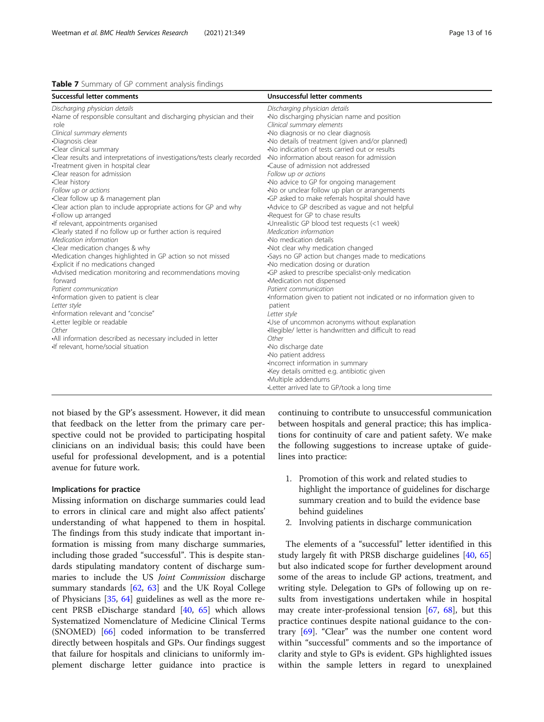<span id="page-12-0"></span>

not biased by the GP's assessment. However, it did mean that feedback on the letter from the primary care perspective could not be provided to participating hospital clinicians on an individual basis; this could have been useful for professional development, and is a potential avenue for future work.

#### Implications for practice

Missing information on discharge summaries could lead to errors in clinical care and might also affect patients' understanding of what happened to them in hospital. The findings from this study indicate that important information is missing from many discharge summaries, including those graded "successful". This is despite standards stipulating mandatory content of discharge summaries to include the US Joint Commission discharge summary standards [\[62](#page-15-0), [63](#page-15-0)] and the UK Royal College of Physicians [\[35,](#page-14-0) [64\]](#page-15-0) guidelines as well as the more recent PRSB eDischarge standard  $[40, 65]$  $[40, 65]$  $[40, 65]$  $[40, 65]$  which allows Systematized Nomenclature of Medicine Clinical Terms (SNOMED) [[66\]](#page-15-0) coded information to be transferred directly between hospitals and GPs. Our findings suggest that failure for hospitals and clinicians to uniformly implement discharge letter guidance into practice is continuing to contribute to unsuccessful communication between hospitals and general practice; this has implications for continuity of care and patient safety. We make the following suggestions to increase uptake of guidelines into practice:

- 1. Promotion of this work and related studies to highlight the importance of guidelines for discharge summary creation and to build the evidence base behind guidelines
- 2. Involving patients in discharge communication

The elements of a "successful" letter identified in this study largely fit with PRSB discharge guidelines [[40,](#page-15-0) [65](#page-15-0)] but also indicated scope for further development around some of the areas to include GP actions, treatment, and writing style. Delegation to GPs of following up on results from investigations undertaken while in hospital may create inter-professional tension [\[67](#page-15-0), [68\]](#page-15-0), but this practice continues despite national guidance to the contrary [\[69](#page-15-0)]. "Clear" was the number one content word within "successful" comments and so the importance of clarity and style to GPs is evident. GPs highlighted issues within the sample letters in regard to unexplained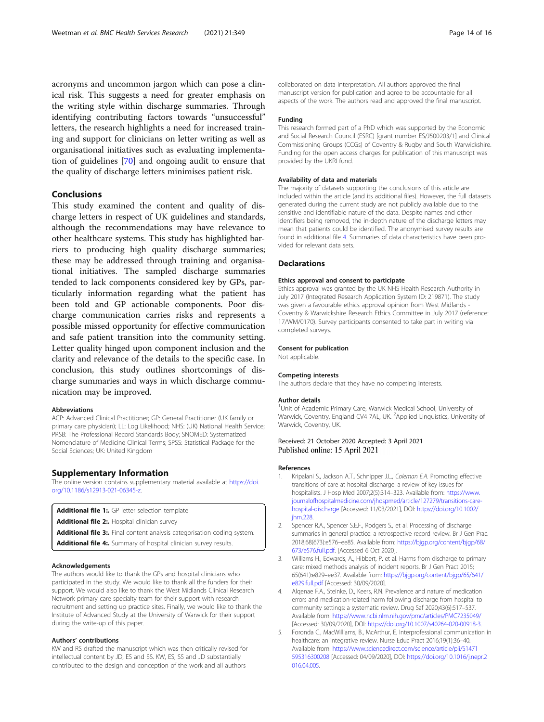<span id="page-13-0"></span>acronyms and uncommon jargon which can pose a clinical risk. This suggests a need for greater emphasis on the writing style within discharge summaries. Through identifying contributing factors towards "unsuccessful" letters, the research highlights a need for increased training and support for clinicians on letter writing as well as organisational initiatives such as evaluating implementation of guidelines [[70\]](#page-15-0) and ongoing audit to ensure that the quality of discharge letters minimises patient risk.

#### Conclusions

This study examined the content and quality of discharge letters in respect of UK guidelines and standards, although the recommendations may have relevance to other healthcare systems. This study has highlighted barriers to producing high quality discharge summaries; these may be addressed through training and organisational initiatives. The sampled discharge summaries tended to lack components considered key by GPs, particularly information regarding what the patient has been told and GP actionable components. Poor discharge communication carries risks and represents a possible missed opportunity for effective communication and safe patient transition into the community setting. Letter quality hinged upon component inclusion and the clarity and relevance of the details to the specific case. In conclusion, this study outlines shortcomings of discharge summaries and ways in which discharge communication may be improved.

#### Abbreviations

ACP: Advanced Clinical Practitioner; GP: General Practitioner (UK family or primary care physician); LL: Log Likelihood; NHS: (UK) National Health Service; PRSB: The Professional Record Standards Body; SNOMED: Systematized Nomenclature of Medicine Clinical Terms; SPSS: Statistical Package for the Social Sciences; UK: United Kingdom

#### Supplementary Information

The online version contains supplementary material available at [https://doi.](https://doi.org/10.1186/s12913-021-06345-z) [org/10.1186/s12913-021-06345-z.](https://doi.org/10.1186/s12913-021-06345-z)

Additional file 1:. GP letter selection template

Additional file 2:. Hospital clinician survey

Additional file 3:. Final content analysis categorisation coding system.

Additional file 4:. Summary of hospital clinician survey results.

#### Acknowledgements

The authors would like to thank the GPs and hospital clinicians who participated in the study. We would like to thank all the funders for their support. We would also like to thank the West Midlands Clinical Research Network primary care specialty team for their support with research recruitment and setting up practice sites. Finally, we would like to thank the Institute of Advanced Study at the University of Warwick for their support during the write-up of this paper.

#### Authors' contributions

KW and RS drafted the manuscript which was then critically revised for intellectual content by JD, ES and SS. KW, ES, SS and JD substantially contributed to the design and conception of the work and all authors

collaborated on data interpretation. All authors approved the final manuscript version for publication and agree to be accountable for all aspects of the work. The authors read and approved the final manuscript.

#### Funding

This research formed part of a PhD which was supported by the Economic and Social Research Council (ESRC) [grant number ES/J500203/1] and Clinical Commissioning Groups (CCGs) of Coventry & Rugby and South Warwickshire. Funding for the open access charges for publication of this manuscript was provided by the UKRI fund.

#### Availability of data and materials

The majority of datasets supporting the conclusions of this article are included within the article (and its additional files). However, the full datasets generated during the current study are not publicly available due to the sensitive and identifiable nature of the data. Despite names and other identifiers being removed, the in-depth nature of the discharge letters may mean that patients could be identified. The anonymised survey results are found in additional file 4. Summaries of data characteristics have been provided for relevant data sets.

#### **Declarations**

#### Ethics approval and consent to participate

Ethics approval was granted by the UK NHS Health Research Authority in July 2017 (Integrated Research Application System ID: 219871). The study was given a favourable ethics approval opinion from West Midlands - Coventry & Warwickshire Research Ethics Committee in July 2017 (reference: 17/WM/0170). Survey participants consented to take part in writing via completed surveys.

#### Consent for publication

Not applicable.

#### Competing interests

The authors declare that they have no competing interests.

#### Author details

<sup>1</sup>Unit of Academic Primary Care, Warwick Medical School, University of Warwick, Coventry, England CV4 7AL, UK. <sup>2</sup>Applied Linguistics, University of Warwick, Coventry, UK.

Received: 21 October 2020 Accepted: 3 April 2021 Published online: 15 April 2021

#### References

- Kripalani S., Jackson A.T., Schnipper J.L., Coleman E.A. Promoting effective transitions of care at hospital discharge: a review of key issues for hospitalists. J Hosp Med 2007;2(5):314–323. Available from: [https://www.](https://www.journalofhospitalmedicine.com/jhospmed/article/127279/transitions-care-hospital-discharge) [journalofhospitalmedicine.com/jhospmed/article/127279/transitions-care](https://www.journalofhospitalmedicine.com/jhospmed/article/127279/transitions-care-hospital-discharge)[hospital-discharge](https://www.journalofhospitalmedicine.com/jhospmed/article/127279/transitions-care-hospital-discharge) [Accessed: 11/03/2021], DOI: [https://doi.org/10.1002/](https://doi.org/10.1002/jhm.228) [jhm.228](https://doi.org/10.1002/jhm.228).
- 2. Spencer R.A., Spencer S.E.F., Rodgers S., et al. Processing of discharge summaries in general practice: a retrospective record review. Br J Gen Prac. 2018;68(673):e576–ee85. Available from: [https://bjgp.org/content/bjgp/68/](https://bjgp.org/content/bjgp/68/673/e576.full.pdf) [673/e576.full.pdf.](https://bjgp.org/content/bjgp/68/673/e576.full.pdf) [Accessed 6 Oct 2020].
- 3. Williams H., Edwards, A., Hibbert, P. et al. Harms from discharge to primary care: mixed methods analysis of incident reports. Br J Gen Pract 2015; 65(641):e829–ee37. Available from: [https://bjgp.org/content/bjgp/65/641/](https://bjgp.org/content/bjgp/65/641/e829.full.pdf) [e829.full.pdf](https://bjgp.org/content/bjgp/65/641/e829.full.pdf) [Accessed: 30/09/2020].
- 4. Alqenae F.A., Steinke, D., Keers, R.N. Prevalence and nature of medication errors and medication-related harm following discharge from hospital to community settings: a systematic review. Drug Saf 2020;43(6):517–537. Available from: <https://www.ncbi.nlm.nih.gov/pmc/articles/PMC7235049/> [Accessed: 30/09/2020], DOI: [https://doi.org/10.1007/s40264-020-00918-3.](https://doi.org/10.1007/s40264-020-00918-3)
- 5. Foronda C., MacWilliams, B., McArthur, E. Interprofessional communication in healthcare: an integrative review. Nurse Educ Pract 2016;19(1):36–40. Available from: [https://www.sciencedirect.com/science/article/pii/S1471](https://www.sciencedirect.com/science/article/pii/S1471595316300208) [595316300208](https://www.sciencedirect.com/science/article/pii/S1471595316300208) [Accessed: 04/09/2020], DOI: [https://doi.org/10.1016/j.nepr.2](https://doi.org/10.1016/j.nepr.2016.04.005) [016.04.005](https://doi.org/10.1016/j.nepr.2016.04.005).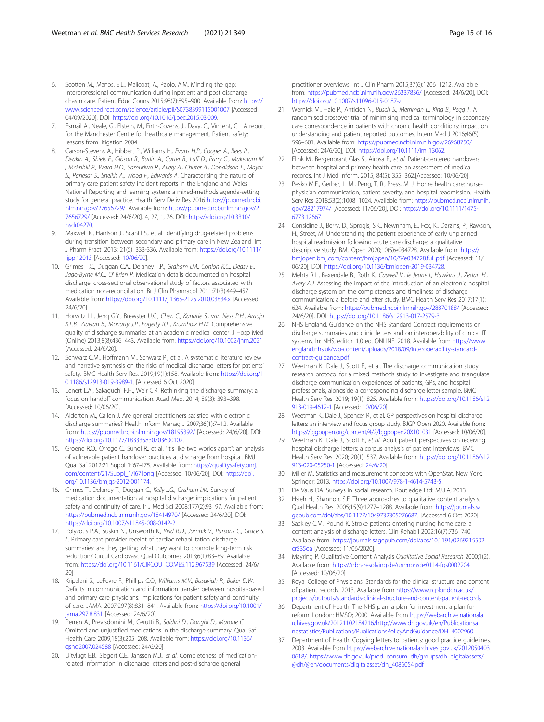- <span id="page-14-0"></span>6. Scotten M., Manos, E.L., Malicoat, A., Paolo, A.M. Minding the gap: Interprofessional communication during inpatient and post discharge chasm care. Patient Educ Couns 2015;98(7):895–900. Available from: [https://](https://www.sciencedirect.com/science/article/pii/S0738399115001007) [www.sciencedirect.com/science/article/pii/S0738399115001007](https://www.sciencedirect.com/science/article/pii/S0738399115001007) [Accessed: 04/09/2020], DOI: [https://doi.org/10.1016/j.pec.2015.03.009.](https://doi.org/10.1016/j.pec.2015.03.009)
- 7. Esmail A., Neale, G., Elstein, M., Firth-Cozens, J., Davy, C., Vincent, C. . A report for the Manchester Centre for healthcare management. Patient safety: lessons from litigation 2004.
- Carson-Stevens A., Hibbert P., Williams H., Evans H.P., Cooper A., Rees P., Deakin A., Shiels E., Gibson R., Butlin A., Carter B., Luff D., Parry G., Makeham M. , McEnhill P., Ward H.O., Samuriwo R., Avery A., Chuter A., Donaldson L., Mayor S., Panesar S., Sheikh A., Wood F., Edwards A. Characterising the nature of primary care patient safety incident reports in the England and Wales National Reporting and learning system: a mixed-methods agenda-setting study for general practice. Health Serv Deliv Res 2016 [https://pubmed.ncbi.](https://pubmed.ncbi.nlm.nih.gov/27656729/) [nlm.nih.gov/27656729/](https://pubmed.ncbi.nlm.nih.gov/27656729/). Available from: [https://pubmed.ncbi.nlm.nih.gov/2](https://pubmed.ncbi.nlm.nih.gov/27656729/) [7656729/](https://pubmed.ncbi.nlm.nih.gov/27656729/) [Accessed: 24/6/20], 4, 27, 1, 76, DOI: [https://doi.org/10.3310/](https://doi.org/10.3310/hsdr04270) [hsdr04270](https://doi.org/10.3310/hsdr04270).
- Maxwell K., Harrison J., Scahill S., et al. Identifying drug-related problems during transition between secondary and primary care in New Zealand. Int J Pharm Pract. 2013; 21(5): 333-336. Available from: [https://doi.org/10.1111/](https://doi.org/10.1111/ijpp.12013) [ijpp.12013](https://doi.org/10.1111/ijpp.12013) [Accessed: [10/06/20\]](http://0.0.0.10/06/20).
- 10. Grimes T.C., Duggan C.A., Delaney T.P., Graham I.M., Conlon K.C., Deasy E., Jago-Byrne M.C., O' Brien P. Medication details documented on hospital discharge: cross-sectional observational study of factors associated with medication non-reconciliation. Br J Clin Pharmacol 2011;71(3):449–457. Available from: <https://doi.org/10.1111/j.1365-2125.2010.03834.x> [Accessed: 24/6/20].
- 11. Horwitz L.I., Jeng G.Y., Brewster U.C., Chen C., Kanade S., van Ness P.H., Araujo K.L.B., Ziaeian B., Moriarty J.P., Fogerty R.L., Krumholz H.M. Comprehensive quality of discharge summaries at an academic medical center. J Hosp Med (Online) 2013;8(8):436–443. Available from: <https://doi.org/10.1002/jhm.2021> [Accessed: 24/6/20].
- 12. Schwarz C.M., Hoffmann M., Schwarz P., et al. A systematic literature review and narrative synthesis on the risks of medical discharge letters for patients' safety. BMC Health Serv Res. 2019;19(1):158. Available from: [https://doi.org/1](https://doi.org/10.1186/s12913-019-3989-1) [0.1186/s12913-019-3989-1.](https://doi.org/10.1186/s12913-019-3989-1) [Accessed 6 Oct 2020].
- 13. Lenert L.A., Sakaguchi F.H., Weir C.R. Rethinking the discharge summary: a focus on handoff communication. Acad Med. 2014; 89(3): 393–398. [Accessed: 10/06/20].
- 14. Alderton M., Callen J. Are general practitioners satisfied with electronic discharge summaries? Health Inform Manag J 2007;36(1):7–12. Available from: <https://pubmed.ncbi.nlm.nih.gov/18195392/> [Accessed: 24/6/20], DOI: <https://doi.org/10.1177/183335830703600102>.
- 15. Groene R.O., Orrego C., Sunol R., et al. "It's like two worlds apart": an analysis of vulnerable patient handover practices at discharge from hospital. BMJ Qual Saf 2012;21 Suppl 1:i67–i75. Available from: [https://qualitysafety.bmj.](https://qualitysafety.bmj.com/content/21/Suppl_1/i67.long) [com/content/21/Suppl\\_1/i67.long](https://qualitysafety.bmj.com/content/21/Suppl_1/i67.long) [Accessed: 10/06/20], DOI: [https://doi.](https://doi.org/10.1136/bmjqs-2012-001174) [org/10.1136/bmjqs-2012-001174.](https://doi.org/10.1136/bmjqs-2012-001174)
- 16. Grimes T., Delaney T., Duggan C., Kelly J.G., Graham I.M. Survey of medication documentation at hospital discharge: implications for patient safety and continuity of care. Ir J Med Sci 2008;177(2):93–97. Available from: <https://pubmed.ncbi.nlm.nih.gov/18414970/> [Accessed: 24/6/20], DOI: <https://doi.org/10.1007/s11845-008-0142-2>.
- 17. Polyzotis P.A., Suskin N., Unsworth K., Reid R.D., Jamnik V., Parsons C., Grace S. L. Primary care provider receipt of cardiac rehabilitation discharge summaries: are they getting what they want to promote long-term risk reduction? Circul Cardiovasc Qual Outcomes 2013;6(1):83–89. Available from: <https://doi.org/10.1161/CIRCOUTCOMES.112.967539> [Accessed: 24/6/ 20].
- 18. Kripalani S., LeFevre F., Phillips C.O., Williams M.V., Basaviah P., Baker D.W. Deficits in communication and information transfer between hospital-based and primary care physicians: implications for patient safety and continuity of care. JAMA. 2007;297(8):831–841. Available from: [https://doi.org/10.1001/](https://doi.org/10.1001/jama.297.8.831) [jama.297.8.831](https://doi.org/10.1001/jama.297.8.831) [Accessed: 24/6/20].
- 19. Perren A., Previsdomini M., Cerutti B., Soldini D., Donghi D., Marone C. Omitted and unjustified medications in the discharge summary. Qual Saf Health Care 2009;18(3):205–208. Available from: [https://doi.org/10.1136/](https://doi.org/10.1136/qshc.2007.024588) [qshc.2007.024588](https://doi.org/10.1136/qshc.2007.024588) [Accessed: 24/6/20].
- 20. Uitvlugt E.B., Siegert C.E., Janssen M.J., et al. Completeness of medicationrelated information in discharge letters and post-discharge general

practitioner overviews. Int J Clin Pharm 2015;37(6):1206–1212. Available from: <https://pubmed.ncbi.nlm.nih.gov/26337836/> [Accessed: 24/6/20], DOI: [https://doi.org/10.1007/s11096-015-0187-z.](https://doi.org/10.1007/s11096-015-0187-z)

- 21. Wernick M., Hale P., Anticich N., Busch S., Merriman L., King B., Pegg T. A randomised crossover trial of minimising medical terminology in secondary care correspondence in patients with chronic health conditions: impact on understanding and patient reported outcomes. Intern Med J 2016;46(5): 596–601. Available from: <https://pubmed.ncbi.nlm.nih.gov/26968750/> [Accessed: 24/6/20], DOI: [https://doi.org/10.1111/imj.13062.](https://doi.org/10.1111/imj.13062)
- 22. Flink M., Bergenbrant Glas S., Airosa F., et al. Patient-centered handovers between hospital and primary health care: an assessment of medical records. Int J Med Inform. 2015; 84(5): 355–362.[Accessed: 10/06/20].
- 23. Pesko M.F., Gerber, L. M., Peng, T. R., Press, M. J. Home health care: nursephysician communication, patient severity, and hospital readmission. Health Serv Res 2018;53(2):1008–1024. Available from: [https://pubmed.ncbi.nlm.nih.](https://pubmed.ncbi.nlm.nih.gov/28217974/) [gov/28217974/](https://pubmed.ncbi.nlm.nih.gov/28217974/) [Accessed: 11/06/20], DOI: [https://doi.org/10.1111/1475-](https://doi.org/10.1111/1475-6773.12667) [6773.12667.](https://doi.org/10.1111/1475-6773.12667)
- 24. Considine J., Berry, D., Sprogis, S.K., Newnham, E., Fox, K., Darzins, P., Rawson, H., Street, M. Understanding the patient experience of early unplanned hospital readmission following acute care discharge: a qualitative descriptive study. BMJ Open 2020;10(5):e034728. Available from: [https://](https://bmjopen.bmj.com/content/bmjopen/10/5/e034728.full.pdf) [bmjopen.bmj.com/content/bmjopen/10/5/e034728.full.pdf](https://bmjopen.bmj.com/content/bmjopen/10/5/e034728.full.pdf) [Accessed: 11/ 06/20], DOI: [https://doi.org/10.1136/bmjopen-2019-034728.](https://doi.org/10.1136/bmjopen-2019-034728)
- 25. Mehta R.L., Baxendale B., Roth K., Caswell V., le Jeune I., Hawkins J., Zedan H., Avery A.J. Assessing the impact of the introduction of an electronic hospital discharge system on the completeness and timeliness of discharge communication: a before and after study. BMC Health Serv Res 2017;17(1): 624. Available from: <https://pubmed.ncbi.nlm.nih.gov/28870188/> [Accessed: 24/6/20], DOI: <https://doi.org/10.1186/s12913-017-2579-3>.
- 26. NHS England. Guidance on the NHS Standard Contract requirements on discharge summaries and clinic letters and on interoperability of clinical IT systems. In: NHS, editor. 1.0 ed. ONLINE. 2018. Available from [https://www.](https://www.england.nhs.uk/wp-content/uploads/2018/09/interoperability-standard-contract-guidance.pdf) [england.nhs.uk/wp-content/uploads/2018/09/interoperability-standard](https://www.england.nhs.uk/wp-content/uploads/2018/09/interoperability-standard-contract-guidance.pdf)[contract-guidance.pdf](https://www.england.nhs.uk/wp-content/uploads/2018/09/interoperability-standard-contract-guidance.pdf)
- 27. Weetman K., Dale J., Scott E., et al. The discharge communication study: research protocol for a mixed methods study to investigate and triangulate discharge communication experiences of patients, GPs, and hospital professionals, alongside a corresponding discharge letter sample. BMC Health Serv Res. 2019; 19(1): 825. Available from: [https://doi.org/10.1186/s12](https://doi.org/10.1186/s12913-019-4612-1) [913-019-4612-1](https://doi.org/10.1186/s12913-019-4612-1) [Accessed: [10/06/20](http://0.0.0.10/06/20)].
- 28. Weetman K., Dale J., Spencer R., et al. GP perspectives on hospital discharge letters: an interview and focus group study. BJGP Open 2020. Available from: <https://bjgpopen.org/content/4/2/bjgpopen20X101031> [Accessed: 10/06/20].
- 29. Weetman K., Dale J., Scott E., et al. Adult patient perspectives on receiving hospital discharge letters: a corpus analysis of patient interviews. BMC Health Serv Res. 2020; 20(1): 537. Available from: [https://doi.org/10.1186/s12](https://doi.org/10.1186/s12913-020-05250-1) [913-020-05250-1](https://doi.org/10.1186/s12913-020-05250-1) [Accessed: [24/6/20](http://0.0.0.24/6/20)].
- 30. Miller M. Statistics and measurement concepts with OpenStat. New York: Springer; 2013. [https://doi.org/10.1007/978-1-4614-5743-5.](https://doi.org/10.1007/978-1-4614-5743-5)
- 31. De Vaus DA. Surveys in social research. Routledge Ltd: M.U.A; 2013. 32. Hsieh H., Shannon, S.E. Three approaches to qualitative content analysis. Qual Health Res. 2005;15(9):1277–1288. Available from: [https://journals.sa](https://journals.sagepub.com/doi/abs/10.1177/1049732305276687)
- [gepub.com/doi/abs/10.1177/1049732305276687](https://journals.sagepub.com/doi/abs/10.1177/1049732305276687). [Accessed 6 Oct 2020]. 33. Sackley C.M., Pound K. Stroke patients entering nursing home care: a content analysis of discharge letters. Clin Rehabil 2002;16(7):736–740.
- Available from: [https://journals.sagepub.com/doi/abs/10.1191/0269215502](http://dx.doi.org/10.1191/0269215502cr535oa) [cr535oa](http://dx.doi.org/10.1191/0269215502cr535oa) [Accessed: 11/06/2020].
- 34. Mayring P. Qualitative Content Analysis Qualitative Social Research 2000;1(2). Available from: <https://nbn-resolving.de/urn:nbn:de:0114-fqs0002204> [Accessed: 10/06/20].
- 35. Royal College of Physicians. Standards for the clinical structure and content of patient records. 2013. Available from [https://www.rcplondon.ac.uk/](https://www.rcplondon.ac.uk/projects/outputs/standards-clinical-structure-and-content-patient-records) [projects/outputs/standards-clinical-structure-and-content-patient-records](https://www.rcplondon.ac.uk/projects/outputs/standards-clinical-structure-and-content-patient-records)
- 36. Department of Health. The NHS plan: a plan for investment a plan for reform. London: HMSO; 2000. Available from [https://webarchive.nationala](https://webarchive.nationalarchives.gov.uk/20121102184216/http://www.dh.gov.uk/en/Publicationsandstatistics/Publications/PublicationsPolicyAndGuidance/DH_4002960) [rchives.gov.uk/20121102184216/http://www.dh.gov.uk/en/Publicationsa](https://webarchive.nationalarchives.gov.uk/20121102184216/http://www.dh.gov.uk/en/Publicationsandstatistics/Publications/PublicationsPolicyAndGuidance/DH_4002960) [ndstatistics/Publications/PublicationsPolicyAndGuidance/DH\\_4002960](https://webarchive.nationalarchives.gov.uk/20121102184216/http://www.dh.gov.uk/en/Publicationsandstatistics/Publications/PublicationsPolicyAndGuidance/DH_4002960)
- 37. Department of Health. Copying letters to patients: good practice guidelines. 2003. Available from [https://webarchive.nationalarchives.gov.uk/2012050403](https://webarchive.nationalarchives.gov.uk/20120504030618/) [0618/.](https://webarchive.nationalarchives.gov.uk/20120504030618/) [https://www.dh.gov.uk/prod\\_consum\\_dh/groups/dh\\_digitalassets/](https://www.dh.gov.uk/prod_consum_dh/groups/dh_digitalassets/@dh/@en/documents/digitalasset/dh_4086054.pdf) [@dh/@en/documents/digitalasset/dh\\_4086054.pdf](https://www.dh.gov.uk/prod_consum_dh/groups/dh_digitalassets/@dh/@en/documents/digitalasset/dh_4086054.pdf)